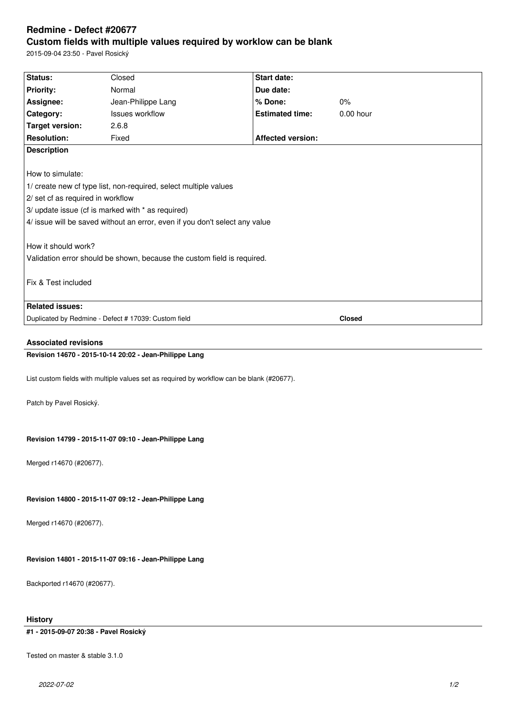# **Redmine - Defect #20677 Custom fields with multiple values required by worklow can be blank**

2015-09-04 23:50 - Pavel Rosický

| Status:                                                                 | Closed                                                                                     | Start date:              |             |  |  |
|-------------------------------------------------------------------------|--------------------------------------------------------------------------------------------|--------------------------|-------------|--|--|
| <b>Priority:</b>                                                        | Normal                                                                                     | Due date:                |             |  |  |
| Assignee:                                                               | Jean-Philippe Lang                                                                         | % Done:                  | 0%          |  |  |
| Category:                                                               | Issues workflow                                                                            | <b>Estimated time:</b>   | $0.00$ hour |  |  |
| <b>Target version:</b>                                                  | 2.6.8                                                                                      |                          |             |  |  |
| <b>Resolution:</b>                                                      | Fixed                                                                                      | <b>Affected version:</b> |             |  |  |
| <b>Description</b>                                                      |                                                                                            |                          |             |  |  |
|                                                                         |                                                                                            |                          |             |  |  |
| How to simulate:                                                        |                                                                                            |                          |             |  |  |
|                                                                         | 1/ create new cf type list, non-required, select multiple values                           |                          |             |  |  |
| 2/ set cf as required in workflow                                       |                                                                                            |                          |             |  |  |
| 3/ update issue (cf is marked with * as required)                       |                                                                                            |                          |             |  |  |
|                                                                         | 4/ issue will be saved without an error, even if you don't select any value                |                          |             |  |  |
|                                                                         |                                                                                            |                          |             |  |  |
| How it should work?                                                     |                                                                                            |                          |             |  |  |
| Validation error should be shown, because the custom field is required. |                                                                                            |                          |             |  |  |
|                                                                         |                                                                                            |                          |             |  |  |
| Fix & Test included                                                     |                                                                                            |                          |             |  |  |
|                                                                         |                                                                                            |                          |             |  |  |
| <b>Related issues:</b>                                                  |                                                                                            |                          |             |  |  |
|                                                                         | Duplicated by Redmine - Defect # 17039: Custom field                                       |                          | Closed      |  |  |
|                                                                         |                                                                                            |                          |             |  |  |
| <b>Associated revisions</b>                                             |                                                                                            |                          |             |  |  |
|                                                                         | Revision 14670 - 2015-10-14 20:02 - Jean-Philippe Lang                                     |                          |             |  |  |
|                                                                         |                                                                                            |                          |             |  |  |
|                                                                         | List custom fields with multiple values set as required by workflow can be blank (#20677). |                          |             |  |  |
|                                                                         |                                                                                            |                          |             |  |  |
| Patch by Pavel Rosický.                                                 |                                                                                            |                          |             |  |  |
|                                                                         |                                                                                            |                          |             |  |  |
|                                                                         |                                                                                            |                          |             |  |  |
| Revision 14799 - 2015-11-07 09:10 - Jean-Philippe Lang                  |                                                                                            |                          |             |  |  |
|                                                                         |                                                                                            |                          |             |  |  |
| Merged r14670 (#20677).                                                 |                                                                                            |                          |             |  |  |
|                                                                         |                                                                                            |                          |             |  |  |
|                                                                         |                                                                                            |                          |             |  |  |
| Revision 14800 - 2015-11-07 09:12 - Jean-Philippe Lang                  |                                                                                            |                          |             |  |  |
|                                                                         |                                                                                            |                          |             |  |  |
| Merged r14670 (#20677).                                                 |                                                                                            |                          |             |  |  |
|                                                                         |                                                                                            |                          |             |  |  |
|                                                                         |                                                                                            |                          |             |  |  |
| Revision 14801 - 2015-11-07 09:16 - Jean-Philippe Lang                  |                                                                                            |                          |             |  |  |
|                                                                         |                                                                                            |                          |             |  |  |
| Backported r14670 (#20677).                                             |                                                                                            |                          |             |  |  |
|                                                                         |                                                                                            |                          |             |  |  |
|                                                                         |                                                                                            |                          |             |  |  |
| <b>History</b>                                                          |                                                                                            |                          |             |  |  |
| #1 - 2015-09-07 20:38 - Pavel Rosický                                   |                                                                                            |                          |             |  |  |

Tested on master & stable 3.1.0